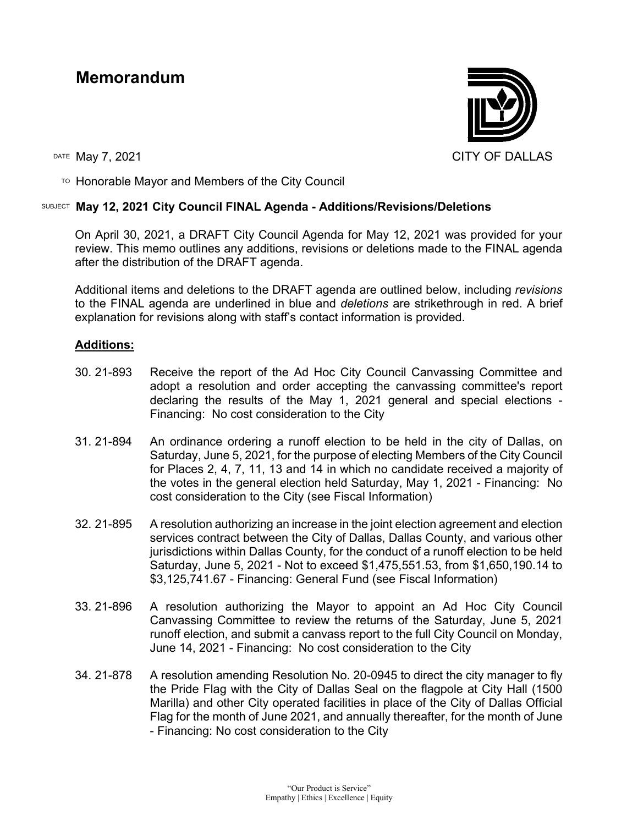# **Memorandum**



TO Honorable Mayor and Members of the City Council

## SUBJECT **May 12, 2021 City Council FINAL Agenda - Additions/Revisions/Deletions**

On April 30, 2021, a DRAFT City Council Agenda for May 12, 2021 was provided for your review. This memo outlines any additions, revisions or deletions made to the FINAL agenda after the distribution of the DRAFT agenda.

Additional items and deletions to the DRAFT agenda are outlined below, including *revisions* to the FINAL agenda are underlined in blue and *deletions* are strikethrough in red. A brief explanation for revisions along with staff's contact information is provided.

## **Additions:**

- 30. 21-893 Receive the report of the Ad Hoc City Council Canvassing Committee and adopt a resolution and order accepting the canvassing committee's report declaring the results of the May 1, 2021 general and special elections - Financing: No cost consideration to the City
- 31. 21-894 An ordinance ordering a runoff election to be held in the city of Dallas, on Saturday, June 5, 2021, for the purpose of electing Members of the City Council for Places 2, 4, 7, 11, 13 and 14 in which no candidate received a majority of the votes in the general election held Saturday, May 1, 2021 - Financing: No cost consideration to the City (see Fiscal Information)
- 32. 21-895 A resolution authorizing an increase in the joint election agreement and election services contract between the City of Dallas, Dallas County, and various other jurisdictions within Dallas County, for the conduct of a runoff election to be held Saturday, June 5, 2021 - Not to exceed \$1,475,551.53, from \$1,650,190.14 to \$3,125,741.67 - Financing: General Fund (see Fiscal Information)
- 33. 21-896 A resolution authorizing the Mayor to appoint an Ad Hoc City Council Canvassing Committee to review the returns of the Saturday, June 5, 2021 runoff election, and submit a canvass report to the full City Council on Monday, June 14, 2021 - Financing: No cost consideration to the City
- 34. 21-878 A resolution amending Resolution No. 20-0945 to direct the city manager to fly the Pride Flag with the City of Dallas Seal on the flagpole at City Hall (1500 Marilla) and other City operated facilities in place of the City of Dallas Official Flag for the month of June 2021, and annually thereafter, for the month of June - Financing: No cost consideration to the City